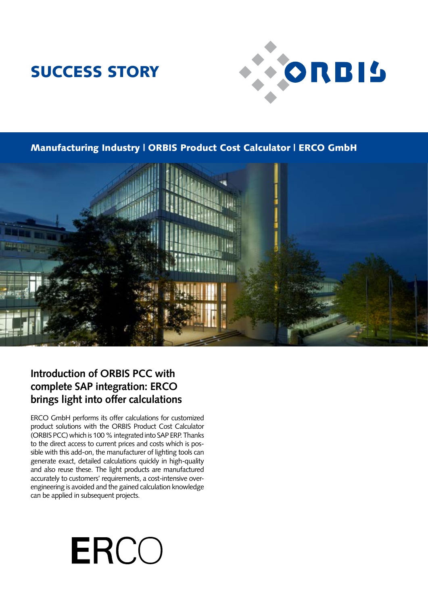## SUCCESS STORY



Manufacturing Industry | ORBIS Product Cost Calculator | ERCO GmbH



### **Introduction of ORBIS PCC with complete SAP integration: ERCO brings light into offer calculations**

ERCO GmbH performs its offer calculations for customized product solutions with the ORBIS Product Cost Calculator (ORBIS PCC) which is 100 % integrated into SAP ERP. Thanks to the direct access to current prices and costs which is possible with this add-on, the manufacturer of lighting tools can generate exact, detailed calculations quickly in high-quality and also reuse these. The light products are manufactured accurately to customers' requirements, a cost-intensive overengineering is avoided and the gained calculation knowledge can be applied in subsequent projects.

# **ERCO**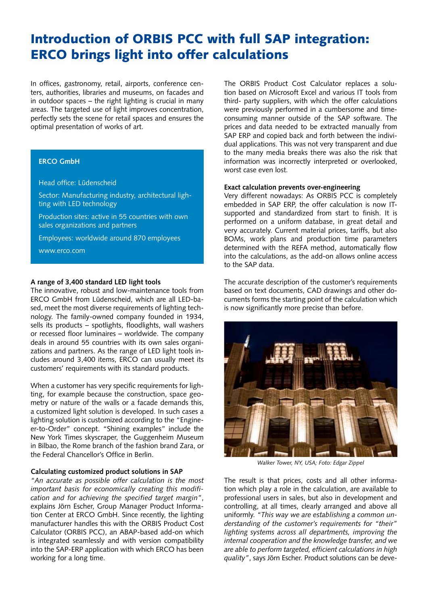## Introduction of ORBIS PCC with full SAP integration: ERCO brings light into offer calculations

In offices, gastronomy, retail, airports, conference centers, authorities, libraries and museums, on facades and in outdoor spaces – the right lighting is crucial in many areas. The targeted use of light improves concentration, perfectly sets the scene for retail spaces and ensures the optimal presentation of works of art.

#### **ERCO GmbH**

#### Head office: Lüdenscheid

Sector: Manufacturing industry, architectural lighting with LED technology

Production sites: active in 55 countries with own sales organizations and partners

Employees: worldwide around 870 employees

www.erco.com

#### **A range of 3,400 standard LED light tools**

The innovative, robust and low-maintenance tools from ERCO GmbH from Lüdenscheid, which are all LED-based, meet the most diverse requirements of lighting technology. The family-owned company founded in 1934, sells its products – spotlights, floodlights, wall washers or recessed floor luminaires – worldwide. The company deals in around 55 countries with its own sales organizations and partners. As the range of LED light tools includes around 3,400 items, ERCO can usually meet its customers' requirements with its standard products.

When a customer has very specific requirements for lighting, for example because the construction, space geometry or nature of the walls or a facade demands this, a customized light solution is developed. In such cases a lighting solution is customized according to the "Engineer-to-Order" concept. "Shining examples" include the New York Times skyscraper, the Guggenheim Museum in Bilbao, the Rome branch of the fashion brand Zara, or the Federal Chancellor's Office in Berlin.

#### **Calculating customized product solutions in SAP**

*"An accurate as possible offer calculation is the most important basis for economically creating this modification and for achieving the specified target margin"*, explains Jörn Escher, Group Manager Product Information Center at ERCO GmbH. Since recently, the lighting manufacturer handles this with the ORBIS Product Cost Calculator (ORBIS PCC), an ABAP-based add-on which is integrated seamlessly and with version compatibility into the SAP-ERP application with which ERCO has been working for a long time.

The ORBIS Product Cost Calculator replaces a solution based on Microsoft Excel and various IT tools from third- party suppliers, with which the offer calculations were previously performed in a cumbersome and timeconsuming manner outside of the SAP software. The prices and data needed to be extracted manually from SAP ERP and copied back and forth between the individual applications. This was not very transparent and due to the many media breaks there was also the risk that information was incorrectly interpreted or overlooked, worst case even lost.

#### **Exact calculation prevents over-engineering**

Very different nowadays: As ORBIS PCC is completely embedded in SAP ERP, the offer calculation is now ITsupported and standardized from start to finish. It is performed on a uniform database, in great detail and very accurately. Current material prices, tariffs, but also BOMs, work plans and production time parameters determined with the REFA method, automatically flow into the calculations, as the add-on allows online access to the SAP data.

The accurate description of the customer's requirements based on text documents, CAD drawings and other documents forms the starting point of the calculation which is now significantly more precise than before.



*Walker Tower, NY, USA; Foto: Edgar Zippel*

The result is that prices, costs and all other information which play a role in the calculation, are available to professional users in sales, but also in development and controlling, at all times, clearly arranged and above all uniformly. *"This way we are establishing a common understanding of the customer's requirements for "their" lighting systems across all departments, improving the internal cooperation and the knowledge transfer, and we are able to perform targeted, efficient calculations in high quality"*, says Jörn Escher. Product solutions can be deve-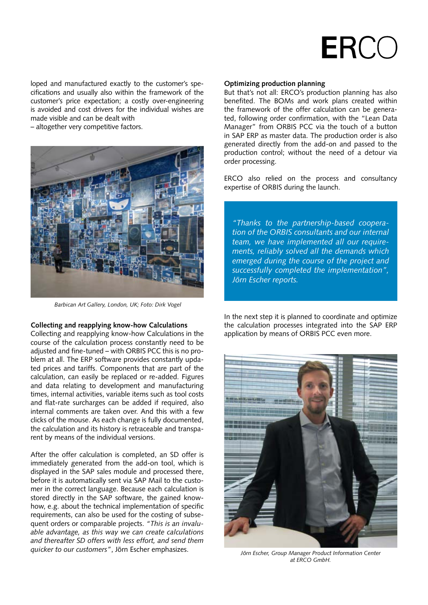

loped and manufactured exactly to the customer's specifications and usually also within the framework of the customer's price expectation; a costly over-engineering is avoided and cost drivers for the individual wishes are made visible and can be dealt with

– altogether very competitive factors.



*Barbican Art Gallery, London, UK; Foto: Dirk Vogel*

#### **Collecting and reapplying know-how Calculations**

Collecting and reapplying know-how Calculations in the course of the calculation process constantly need to be adjusted and fine-tuned – with ORBIS PCC this is no problem at all. The ERP software provides constantly updated prices and tariffs. Components that are part of the calculation, can easily be replaced or re-added. Figures and data relating to development and manufacturing times, internal activities, variable items such as tool costs and flat-rate surcharges can be added if required, also internal comments are taken over. And this with a few clicks of the mouse. As each change is fully documented, the calculation and its history is retraceable and transparent by means of the individual versions.

After the offer calculation is completed, an SD offer is immediately generated from the add-on tool, which is displayed in the SAP sales module and processed there, before it is automatically sent via SAP Mail to the customer in the correct language. Because each calculation is stored directly in the SAP software, the gained knowhow, e.g. about the technical implementation of specific requirements, can also be used for the costing of subsequent orders or comparable projects. *"This is an invaluable advantage, as this way we can create calculations and thereafter SD offers with less effort, and send them quicker to our customers"*, Jörn Escher emphasizes.

#### **Optimizing production planning**

But that's not all: ERCO's production planning has also benefited. The BOMs and work plans created within the framework of the offer calculation can be generated, following order confirmation, with the "Lean Data Manager" from ORBIS PCC via the touch of a button in SAP ERP as master data. The production order is also generated directly from the add-on and passed to the production control; without the need of a detour via order processing.

ERCO also relied on the process and consultancy expertise of ORBIS during the launch.

*"Thanks to the partnership-based cooperation of the ORBIS consultants and our internal team, we have implemented all our requirements, reliably solved all the demands which emerged during the course of the project and successfully completed the implementation", Jörn Escher reports.*

In the next step it is planned to coordinate and optimize the calculation processes integrated into the SAP ERP application by means of ORBIS PCC even more.



*Jörn Escher, Group Manager Product Information Center at ERCO GmbH.*